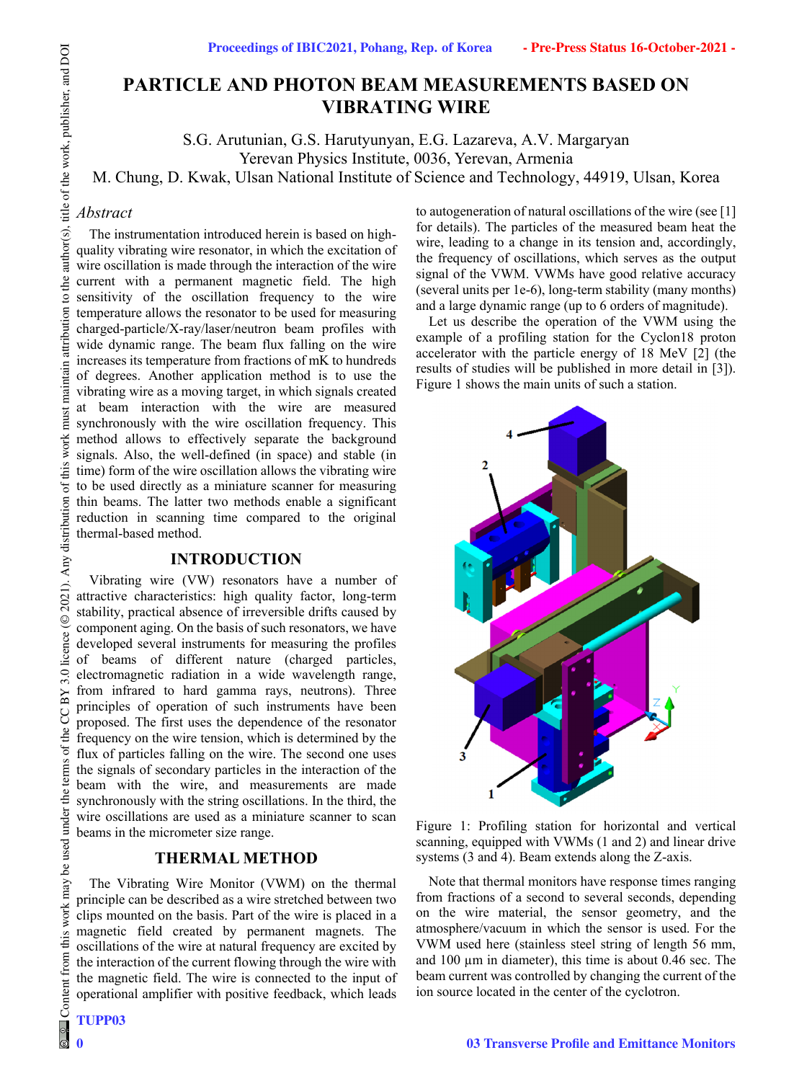# **PARTICLE AND PHOTON BEAM MEASUREMENTS BASED ON VIBRATING WIRE**

S.G. Arutunian, G.S. Harutyunyan, E.G. Lazareva, A.V. Margaryan

Yerevan Physics Institute, 0036, Yerevan, Armenia

M. Chung, D. Kwak, Ulsan National Institute of Science and Technology, 44919, Ulsan, Korea

# *Abstract*

The instrumentation introduced herein is based on highquality vibrating wire resonator, in which the excitation of wire oscillation is made through the interaction of the wire current with a permanent magnetic field. The high sensitivity of the oscillation frequency to the wire temperature allows the resonator to be used for measuring charged-particle/X-ray/laser/neutron beam profiles with wide dynamic range. The beam flux falling on the wire increases its temperature from fractions of mK to hundreds of degrees. Another application method is to use the vibrating wire as a moving target, in which signals created at beam interaction with the wire are measured synchronously with the wire oscillation frequency. This method allows to effectively separate the background signals. Also, the well-defined (in space) and stable (in time) form of the wire oscillation allows the vibrating wire to be used directly as a miniature scanner for measuring thin beams. The latter two methods enable a significant reduction in scanning time compared to the original thermal-based method.

# **INTRODUCTION**

Vibrating wire (VW) resonators have a number of attractive characteristics: high quality factor, long-term stability, practical absence of irreversible drifts caused by component aging. On the basis of such resonators, we have developed several instruments for measuring the profiles of beams of different nature (charged particles, electromagnetic radiation in a wide wavelength range, from infrared to hard gamma rays, neutrons). Three principles of operation of such instruments have been proposed. The first uses the dependence of the resonator frequency on the wire tension, which is determined by the flux of particles falling on the wire. The second one uses the signals of secondary particles in the interaction of the beam with the wire, and measurements are made synchronously with the string oscillations. In the third, the wire oscillations are used as a miniature scanner to scan beams in the micrometer size range.

# **THERMAL METHOD**

The Vibrating Wire Monitor (VWM) on the thermal principle can be described as a wire stretched between two clips mounted on the basis. Part of the wire is placed in a magnetic field created by permanent magnets. The oscillations of the wire at natural frequency are excited by the interaction of the current flowing through the wire with the magnetic field. The wire is connected to the input of operational amplifier with positive feedback, which leads to autogeneration of natural oscillations of the wire (see [1] for details). The particles of the measured beam heat the wire, leading to a change in its tension and, accordingly, the frequency of oscillations, which serves as the output signal of the VWM. VWMs have good relative accuracy (several units per 1e-6), long-term stability (many months) and a large dynamic range (up to 6 orders of magnitude).

Let us describe the operation of the VWM using the example of a profiling station for the Cyclon18 proton accelerator with the particle energy of 18 MeV [2] (the results of studies will be published in more detail in [3]). Figure 1 shows the main units of such a station.





Note that thermal monitors have response times ranging from fractions of a second to several seconds, depending on the wire material, the sensor geometry, and the atmosphere/vacuum in which the sensor is used. For the VWM used here (stainless steel string of length 56 mm, and 100  $\mu$ m in diameter), this time is about 0.46 sec. The beam current was controlled by changing the current of the ion source located in the center of the cyclotron.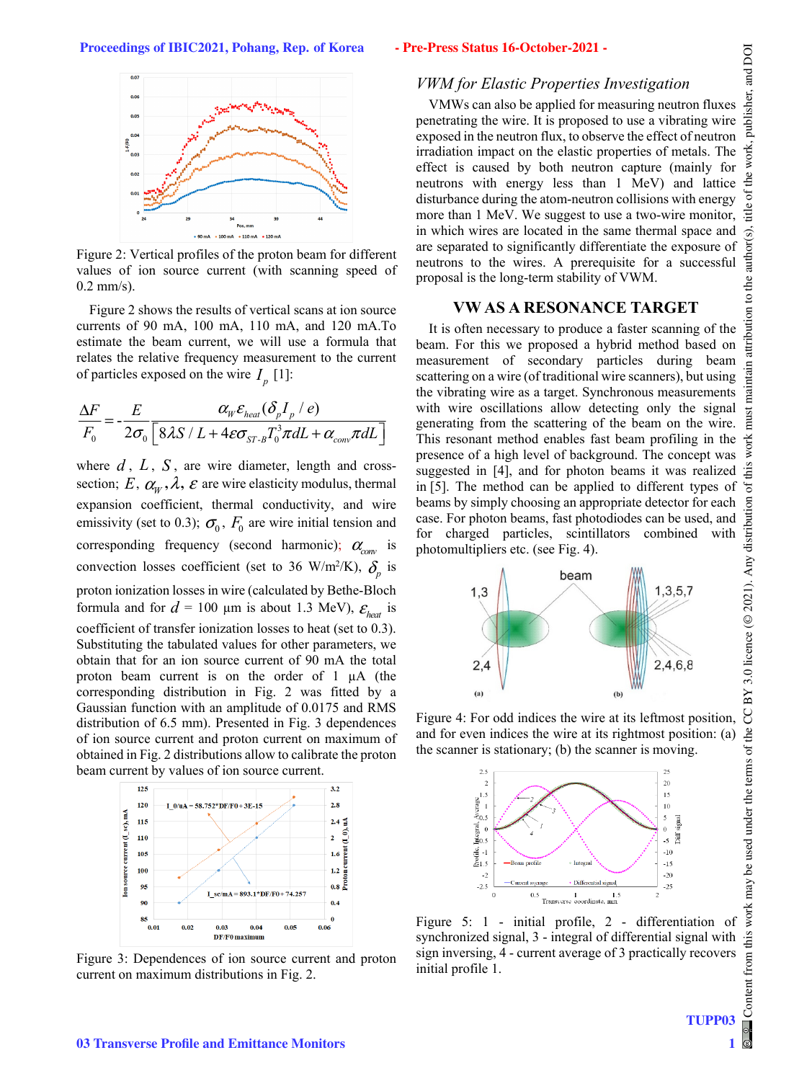

Figure 2: Vertical profiles of the proton beam for different values of ion source current (with scanning speed of 0.2 mm/s).

Figure 2 shows the results of vertical scans at ion source currents of 90 mA, 100 mA, 110 mA, and 120 mA.To estimate the beam current, we will use a formula that relates the relative frequency measurement to the current of particles exposed on the wire  $I_p$  [1]:

$$
\frac{\Delta F}{F_0} = -\frac{E}{2\sigma_0} \frac{\alpha_w \varepsilon_{heat} (\delta_p I_p / e)}{\left[8\lambda S / L + 4\varepsilon \sigma_{ST \cdot B} T_0^3 \pi dL + \alpha_{conv} \pi dL\right]}
$$

where  $d$ ,  $L$ ,  $S$ , are wire diameter, length and crosssection;  $E, \alpha_w, \lambda$ ,  $\varepsilon$  are wire elasticity modulus, thermal expansion coefficient, thermal conductivity, and wire emissivity (set to 0.3);  $\sigma_0$ ,  $F_0$  are wire initial tension and corresponding frequency (second harmonic);  $\alpha_{\text{conv}}$  is convection losses coefficient (set to 36 W/m<sup>2</sup>/K),  $\delta_p$  is proton ionization losses in wire (calculated by Bethe-Bloch formula and for  $d = 100 \mu m$  is about 1.3 MeV),  $\mathcal{E}_{heat}$  is coefficient of transfer ionization losses to heat (set to 0.3). Substituting the tabulated values for other parameters, we obtain that for an ion source current of 90 mA the total proton beam current is on the order of 1 µA (the corresponding distribution in Fig. 2 was fitted by a Gaussian function with an amplitude of 0.0175 and RMS distribution of 6.5 mm). Presented in Fig. 3 dependences of ion source current and proton current on maximum of obtained in Fig. 2 distributions allow to calibrate the proton beam current by values of ion source current.



Figure 3: Dependences of ion source current and proton current on maximum distributions in Fig. 2.

# *VWM for Elastic Properties Investigation*

VMWs can also be applied for measuring neutron fluxes penetrating the wire. It is proposed to use a vibrating wire exposed in the neutron flux, to observe the effect of neutron irradiation impact on the elastic properties of metals. The effect is caused by both neutron capture (mainly for neutrons with energy less than 1 MeV) and lattice disturbance during the atom-neutron collisions with energy more than 1 MeV. We suggest to use a two-wire monitor, in which wires are located in the same thermal space and are separated to significantly differentiate the exposure of neutrons to the wires. A prerequisite for a successful proposal is the long-term stability of VWM.

# **VW AS A RESONANCE TARGET**

It is often necessary to produce a faster scanning of the beam. For this we proposed a hybrid method based on measurement of secondary particles during beam scattering on a wire (of traditional wire scanners), but using the vibrating wire as a target. Synchronous measurements with wire oscillations allow detecting only the signal generating from the scattering of the beam on the wire. This resonant method enables fast beam profiling in the presence of a high level of background. The concept was suggested in [4], and for photon beams it was realized in [5]. The method can be applied to different types of beams by simply choosing an appropriate detector for each case. For photon beams, fast photodiodes can be used, and for charged particles, scintillators combined with photomultipliers etc. (see Fig. 4).



Figure 4: For odd indices the wire at its leftmost position, and for even indices the wire at its rightmost position: (a) the scanner is stationary; (b) the scanner is moving.



Figure 5: 1 - initial profile, 2 - differentiation of synchronized signal, 3 - integral of differential signal with sign inversing, 4 - current average of 3 practically recovers initial profile 1.

1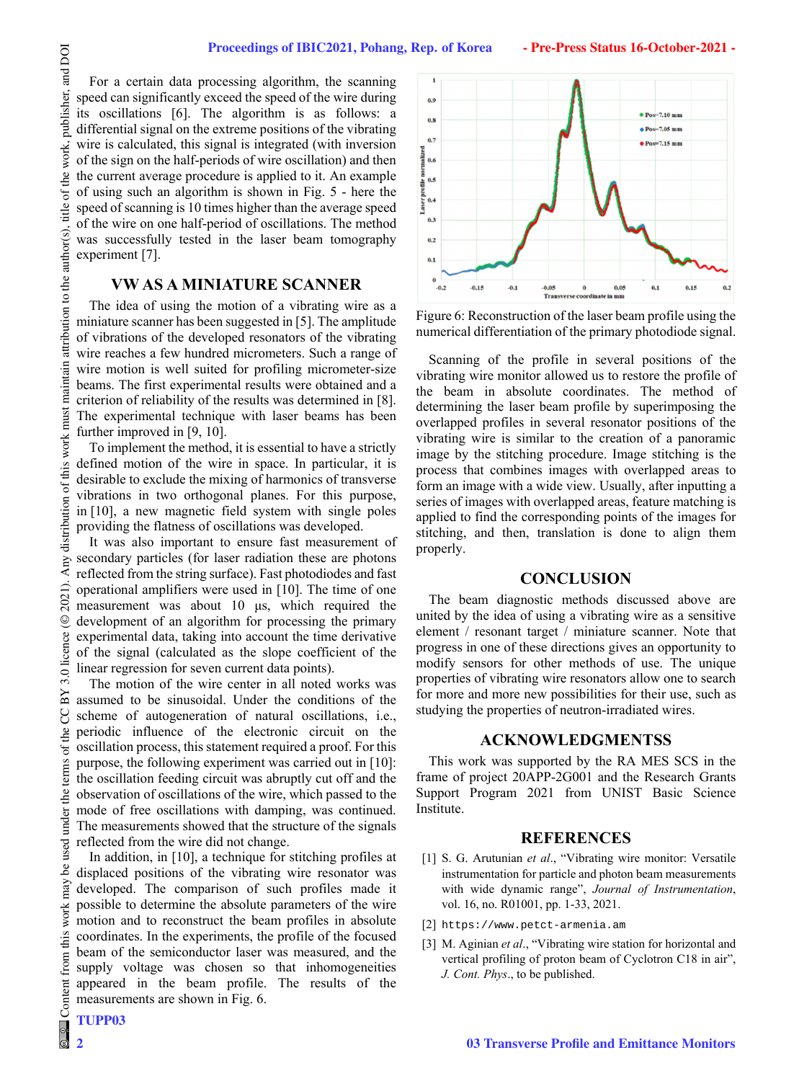For a certain data processing algorithm, the scanning speed can significantly exceed the speed of the wire during its oscillations [6]. The algorithm is as follows: a differential signal on the extreme positions of the vibrating wire is calculated, this signal is integrated (with inversion of the sign on the half-periods of wire oscillation) and then the current average procedure is applied to it. An example of using such an algorithm is shown in Fig. 5 - here the speed of scanning is 10 times higher than the average speed of the wire on one half-period of oscillations. The method was successfully tested in the laser beam tomography experiment [7].

#### **VW AS A MINIATURE SCANNER**

The idea of using the motion of a vibrating wire as a miniature scanner has been suggested in [5]. The amplitude of vibrations of the developed resonators of the vibrating wire reaches a few hundred micrometers. Such a range of wire motion is well suited for profiling micrometer-size beams. The first experimental results were obtained and a criterion of reliability of the results was determined in [8]. The experimental technique with laser beams has been further improved in [9, 10].

To implement the method, it is essential to have a strictly defined motion of the wire in space. In particular, it is desirable to exclude the mixing of harmonics of transverse vibrations in two orthogonal planes. For this purpose, in [10], a new magnetic field system with single poles providing the flatness of oscillations was developed.

It was also important to ensure fast measurement of secondary particles (for laser radiation these are photons reflected from the string surface). Fast photodiodes and fast operational amplifiers were used in [10]. The time of one measurement was about 10 μs, which required the development of an algorithm for processing the primary experimental data, taking into account the time derivative of the signal (calculated as the slope coefficient of the linear regression for seven current data points).

The motion of the wire center in all noted works was assumed to be sinusoidal. Under the conditions of the scheme of autogeneration of natural oscillations, i.e., periodic influence of the electronic circuit on the oscillation process, this statement required a proof. For this purpose, the following experiment was carried out in [10]: the oscillation feeding circuit was abruptly cut off and the observation of oscillations of the wire, which passed to the mode of free oscillations with damping, was continued. The measurements showed that the structure of the signals reflected from the wire did not change.

In addition, in [10], a technique for stitching profiles at displaced positions of the vibrating wire resonator was developed. The comparison of such profiles made it possible to determine the absolute parameters of the wire motion and to reconstruct the beam profiles in absolute coordinates. In the experiments, the profile of the focused beam of the semiconductor laser was measured, and the supply voltage was chosen so that inhomogeneities appeared in the beam profile. The results of the measurements are shown in Fig. 6.



Figure 6: Reconstruction of the laser beam profile using the numerical differentiation of the primary photodiode signal.

Scanning of the profile in several positions of the vibrating wire monitor allowed us to restore the profile of the beam in absolute coordinates. The method of determining the laser beam profile by superimposing the overlapped profiles in several resonator positions of the vibrating wire is similar to the creation of a panoramic image by the stitching procedure. Image stitching is the process that combines images with overlapped areas to form an image with a wide view. Usually, after inputting a series of images with overlapped areas, feature matching is applied to find the corresponding points of the images for stitching, and then, translation is done to align them properly.

#### **CONCLUSION**

The beam diagnostic methods discussed above are united by the idea of using a vibrating wire as a sensitive element / resonant target / miniature scanner. Note that progress in one of these directions gives an opportunity to modify sensors for other methods of use. The unique properties of vibrating wire resonators allow one to search for more and more new possibilities for their use, such as studying the properties of neutron-irradiated wires.

#### **ACKNOWLEDGMENTSS**

This work was supported by the RA MES SCS in the frame of project 20APP-2G001 and the Research Grants Support Program 2021 from UNIST Basic Science Institute.

#### **REFERENCES**

- [1] S. G. Arutunian *et al*., "Vibrating wire monitor: Versatile instrumentation for particle and photon beam measurements with wide dynamic range", *Journal of Instrumentation*, vol. 16, no. R01001, pp. 1-33, 2021.
- [2] https://www.petct-armenia.am
- [3] M. Aginian *et al*., "Vibrating wire station for horizontal and vertical profiling of proton beam of Cyclotron C18 in air", *J. Cont. Phys*., to be published.

and DOI

publisher,

work,